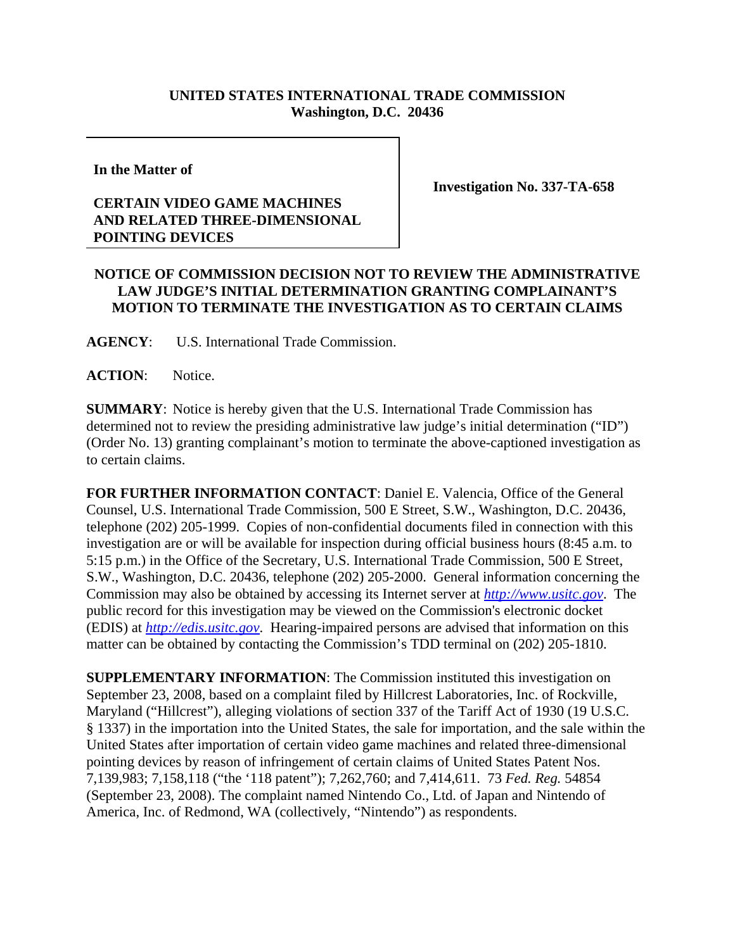## **UNITED STATES INTERNATIONAL TRADE COMMISSION Washington, D.C. 20436**

**In the Matter of** 

## **CERTAIN VIDEO GAME MACHINES AND RELATED THREE-DIMENSIONAL POINTING DEVICES**

**Investigation No. 337-TA-658**

## **NOTICE OF COMMISSION DECISION NOT TO REVIEW THE ADMINISTRATIVE LAW JUDGE'S INITIAL DETERMINATION GRANTING COMPLAINANT'S MOTION TO TERMINATE THE INVESTIGATION AS TO CERTAIN CLAIMS**

**AGENCY**: U.S. International Trade Commission.

ACTION: Notice.

**SUMMARY**: Notice is hereby given that the U.S. International Trade Commission has determined not to review the presiding administrative law judge's initial determination ("ID") (Order No. 13) granting complainant's motion to terminate the above-captioned investigation as to certain claims.

**FOR FURTHER INFORMATION CONTACT**: Daniel E. Valencia, Office of the General Counsel, U.S. International Trade Commission, 500 E Street, S.W., Washington, D.C. 20436, telephone (202) 205-1999. Copies of non-confidential documents filed in connection with this investigation are or will be available for inspection during official business hours (8:45 a.m. to 5:15 p.m.) in the Office of the Secretary, U.S. International Trade Commission, 500 E Street, S.W., Washington, D.C. 20436, telephone (202) 205-2000. General information concerning the Commission may also be obtained by accessing its Internet server at *http://www.usitc.gov*. The public record for this investigation may be viewed on the Commission's electronic docket (EDIS) at *http://edis.usitc.gov*. Hearing-impaired persons are advised that information on this matter can be obtained by contacting the Commission's TDD terminal on (202) 205-1810.

**SUPPLEMENTARY INFORMATION**: The Commission instituted this investigation on September 23, 2008, based on a complaint filed by Hillcrest Laboratories, Inc. of Rockville, Maryland ("Hillcrest"), alleging violations of section 337 of the Tariff Act of 1930 (19 U.S.C. § 1337) in the importation into the United States, the sale for importation, and the sale within the United States after importation of certain video game machines and related three-dimensional pointing devices by reason of infringement of certain claims of United States Patent Nos. 7,139,983; 7,158,118 ("the '118 patent"); 7,262,760; and 7,414,611. 73 *Fed. Reg.* 54854 (September 23, 2008). The complaint named Nintendo Co., Ltd. of Japan and Nintendo of America, Inc. of Redmond, WA (collectively, "Nintendo") as respondents.